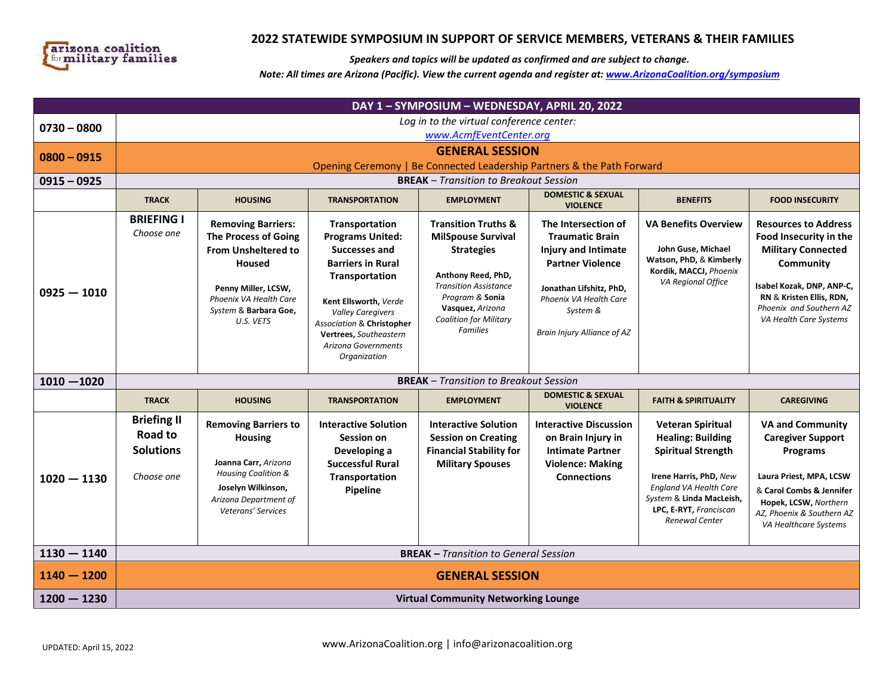

## **2022 STATEWIDE SYMPOSIUM IN SUPPORT OF SERVICE MEMBERS, VETERANS & THEIR FAMILIES**

*Speakers and topics will be updated as confirmed and are subject to change.* 

*Note: All times are Arizona (Pacific). View the current agenda and register at[: www.ArizonaCoalition.org/symposium](http://www.arizonacoalition.org/symposium)*

| DAY 1 - SYMPOSIUM - WEDNESDAY, APRIL 20, 2022 |                                                                                                  |                                                                                                                                                                                         |                                                                                                                                                                                                                                                                                      |                                                                                                                                                                                                                                   |                                                                                                                                                                                                        |                                                                                                                                                                                                               |                                                                                                                                                                                                               |  |  |  |  |
|-----------------------------------------------|--------------------------------------------------------------------------------------------------|-----------------------------------------------------------------------------------------------------------------------------------------------------------------------------------------|--------------------------------------------------------------------------------------------------------------------------------------------------------------------------------------------------------------------------------------------------------------------------------------|-----------------------------------------------------------------------------------------------------------------------------------------------------------------------------------------------------------------------------------|--------------------------------------------------------------------------------------------------------------------------------------------------------------------------------------------------------|---------------------------------------------------------------------------------------------------------------------------------------------------------------------------------------------------------------|---------------------------------------------------------------------------------------------------------------------------------------------------------------------------------------------------------------|--|--|--|--|
| $0730 - 0800$                                 | Log in to the virtual conference center:<br>www.AcmfEventCenter.org                              |                                                                                                                                                                                         |                                                                                                                                                                                                                                                                                      |                                                                                                                                                                                                                                   |                                                                                                                                                                                                        |                                                                                                                                                                                                               |                                                                                                                                                                                                               |  |  |  |  |
| $0800 - 0915$                                 | <b>GENERAL SESSION</b><br>Opening Ceremony   Be Connected Leadership Partners & the Path Forward |                                                                                                                                                                                         |                                                                                                                                                                                                                                                                                      |                                                                                                                                                                                                                                   |                                                                                                                                                                                                        |                                                                                                                                                                                                               |                                                                                                                                                                                                               |  |  |  |  |
| $0915 - 0925$                                 | <b>BREAK</b> - Transition to Breakout Session                                                    |                                                                                                                                                                                         |                                                                                                                                                                                                                                                                                      |                                                                                                                                                                                                                                   |                                                                                                                                                                                                        |                                                                                                                                                                                                               |                                                                                                                                                                                                               |  |  |  |  |
|                                               | <b>TRACK</b>                                                                                     | <b>HOUSING</b>                                                                                                                                                                          | <b>TRANSPORTATION</b>                                                                                                                                                                                                                                                                | <b>EMPLOYMENT</b>                                                                                                                                                                                                                 | <b>DOMESTIC &amp; SEXUAL</b><br><b>VIOLENCE</b>                                                                                                                                                        | <b>BENEFITS</b>                                                                                                                                                                                               | <b>FOOD INSECURITY</b>                                                                                                                                                                                        |  |  |  |  |
| $0925 - 1010$                                 | <b>BRIEFING I</b><br>Choose one                                                                  | <b>Removing Barriers:</b><br><b>The Process of Going</b><br><b>From Unsheltered to</b><br>Housed<br>Penny Miller, LCSW,<br>Phoenix VA Health Care<br>System & Barbara Goe,<br>U.S. VETS | Transportation<br><b>Programs United:</b><br><b>Successes and</b><br><b>Barriers in Rural</b><br>Transportation<br>Kent Ellsworth, Verde<br><b>Valley Caregivers</b><br><b>Association &amp; Christopher</b><br>Vertrees, Southeastern<br><b>Arizona Governments</b><br>Organization | <b>Transition Truths &amp;</b><br><b>MilSpouse Survival</b><br><b>Strategies</b><br>Anthony Reed, PhD,<br><b>Transition Assistance</b><br>Program & Sonia<br>Vasquez, Arizona<br><b>Coalition for Military</b><br><b>Families</b> | The Intersection of<br><b>Traumatic Brain</b><br><b>Injury and Intimate</b><br><b>Partner Violence</b><br>Jonathan Lifshitz, PhD,<br>Phoenix VA Health Care<br>System &<br>Brain Injury Alliance of AZ | <b>VA Benefits Overview</b><br>John Guse, Michael<br>Watson, PhD, & Kimberly<br>Kordik, MACCJ, Phoenix<br>VA Regional Office                                                                                  | <b>Resources to Address</b><br>Food Insecurity in the<br><b>Military Connected</b><br>Community<br>Isabel Kozak, DNP, ANP-C,<br>RN & Kristen Ellis, RDN,<br>Phoenix and Southern AZ<br>VA Health Care Systems |  |  |  |  |
| $1010 - 1020$                                 | <b>BREAK</b> – Transition to Breakout Session                                                    |                                                                                                                                                                                         |                                                                                                                                                                                                                                                                                      |                                                                                                                                                                                                                                   |                                                                                                                                                                                                        |                                                                                                                                                                                                               |                                                                                                                                                                                                               |  |  |  |  |
|                                               | <b>TRACK</b>                                                                                     | <b>HOUSING</b>                                                                                                                                                                          | <b>TRANSPORTATION</b>                                                                                                                                                                                                                                                                | <b>EMPLOYMENT</b>                                                                                                                                                                                                                 | <b>DOMESTIC &amp; SEXUAL</b><br><b>VIOLENCE</b>                                                                                                                                                        | <b>FAITH &amp; SPIRITUALITY</b>                                                                                                                                                                               | <b>CAREGIVING</b>                                                                                                                                                                                             |  |  |  |  |
| $1020 - 1130$                                 | <b>Briefing II</b><br>Road to<br><b>Solutions</b><br>Choose one                                  | <b>Removing Barriers to</b><br>Housing<br>Joanna Carr, Arizona<br><b>Housing Coalition &amp;</b><br>Joselyn Wilkinson,<br>Arizona Department of<br>Veterans' Services                   | <b>Interactive Solution</b><br>Session on<br>Developing a<br><b>Successful Rural</b><br>Transportation<br>Pipeline                                                                                                                                                                   | <b>Interactive Solution</b><br><b>Session on Creating</b><br><b>Financial Stability for</b><br><b>Military Spouses</b>                                                                                                            | <b>Interactive Discussion</b><br>on Brain Injury in<br><b>Intimate Partner</b><br><b>Violence: Making</b><br><b>Connections</b>                                                                        | Veteran Spiritual<br><b>Healing: Building</b><br><b>Spiritual Strength</b><br>Irene Harris, PhD, New<br><b>England VA Health Care</b><br>System & Linda MacLeish,<br>LPC, E-RYT, Franciscan<br>Renewal Center | <b>VA and Community</b><br><b>Caregiver Support</b><br>Programs<br>Laura Priest, MPA, LCSW<br>& Carol Combs & Jennifer<br>Hopek, LCSW, Northern<br>AZ, Phoenix & Southern AZ<br>VA Healthcare Systems         |  |  |  |  |
| $1130 - 1140$                                 | <b>BREAK - Transition to General Session</b>                                                     |                                                                                                                                                                                         |                                                                                                                                                                                                                                                                                      |                                                                                                                                                                                                                                   |                                                                                                                                                                                                        |                                                                                                                                                                                                               |                                                                                                                                                                                                               |  |  |  |  |
| $1140 - 1200$                                 | <b>GENERAL SESSION</b>                                                                           |                                                                                                                                                                                         |                                                                                                                                                                                                                                                                                      |                                                                                                                                                                                                                                   |                                                                                                                                                                                                        |                                                                                                                                                                                                               |                                                                                                                                                                                                               |  |  |  |  |
| $1200 - 1230$                                 | <b>Virtual Community Networking Lounge</b>                                                       |                                                                                                                                                                                         |                                                                                                                                                                                                                                                                                      |                                                                                                                                                                                                                                   |                                                                                                                                                                                                        |                                                                                                                                                                                                               |                                                                                                                                                                                                               |  |  |  |  |